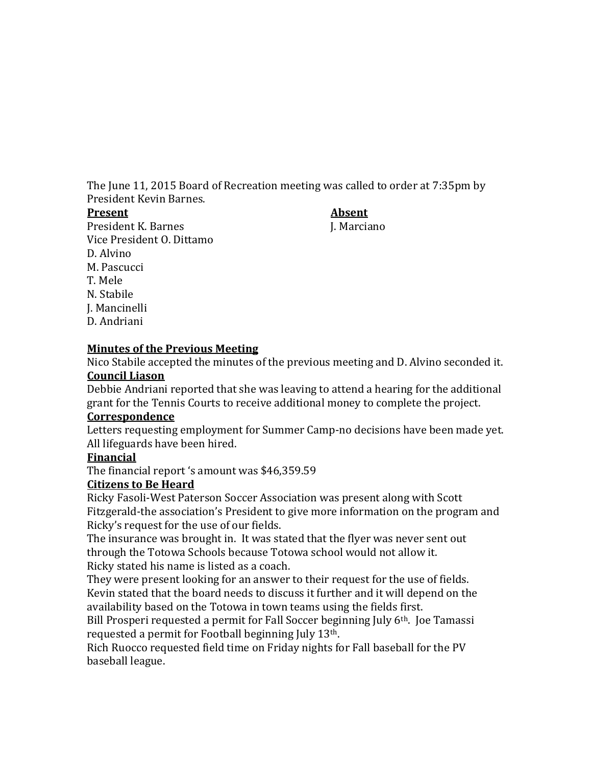The June 11, 2015 Board of Recreation meeting was called to order at 7:35pm by President Kevin Barnes.

#### **Present Absent**

President K. Barnes J. Marciano Vice President O. Dittamo D. Alvino M. Pascucci T. Mele N. Stabile J. Mancinelli D. Andriani

#### **Minutes of the Previous Meeting**

Nico Stabile accepted the minutes of the previous meeting and D. Alvino seconded it. **Council Liason**

Debbie Andriani reported that she was leaving to attend a hearing for the additional grant for the Tennis Courts to receive additional money to complete the project.

#### **Correspondence**

Letters requesting employment for Summer Camp-no decisions have been made yet. All lifeguards have been hired.

## **Financial**

The financial report 's amount was \$46,359.59

## **Citizens to Be Heard**

Ricky Fasoli-West Paterson Soccer Association was present along with Scott Fitzgerald-the association's President to give more information on the program and Ricky's request for the use of our fields.

The insurance was brought in. It was stated that the flyer was never sent out through the Totowa Schools because Totowa school would not allow it. Ricky stated his name is listed as a coach.

They were present looking for an answer to their request for the use of fields. Kevin stated that the board needs to discuss it further and it will depend on the availability based on the Totowa in town teams using the fields first.

Bill Prosperi requested a permit for Fall Soccer beginning July 6<sup>th</sup>. Joe Tamassi requested a permit for Football beginning July 13th.

Rich Ruocco requested field time on Friday nights for Fall baseball for the PV baseball league.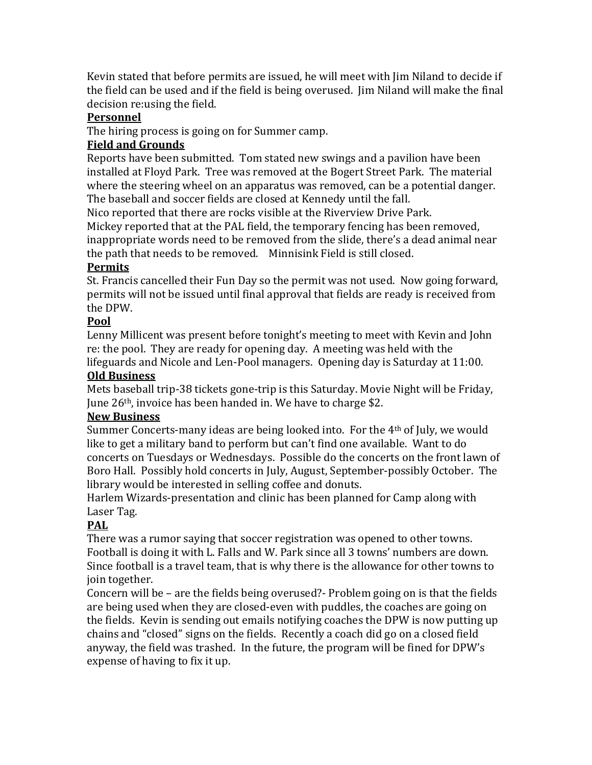Kevin stated that before permits are issued, he will meet with Jim Niland to decide if the field can be used and if the field is being overused. Jim Niland will make the final decision re:using the field.

#### **Personnel**

The hiring process is going on for Summer camp.

## **Field and Grounds**

Reports have been submitted. Tom stated new swings and a pavilion have been installed at Floyd Park. Tree was removed at the Bogert Street Park. The material where the steering wheel on an apparatus was removed, can be a potential danger. The baseball and soccer fields are closed at Kennedy until the fall.

Nico reported that there are rocks visible at the Riverview Drive Park.

Mickey reported that at the PAL field, the temporary fencing has been removed, inappropriate words need to be removed from the slide, there's a dead animal near the path that needs to be removed. Minnisink Field is still closed.

# **Permits**

St. Francis cancelled their Fun Day so the permit was not used. Now going forward, permits will not be issued until final approval that fields are ready is received from the DPW.

## **Pool**

Lenny Millicent was present before tonight's meeting to meet with Kevin and John re: the pool. They are ready for opening day. A meeting was held with the lifeguards and Nicole and Len-Pool managers. Opening day is Saturday at 11:00.

## **Old Business**

Mets baseball trip-38 tickets gone-trip is this Saturday. Movie Night will be Friday, June 26th, invoice has been handed in. We have to charge \$2.

## **New Business**

Summer Concerts-many ideas are being looked into. For the 4th of July, we would like to get a military band to perform but can't find one available. Want to do concerts on Tuesdays or Wednesdays. Possible do the concerts on the front lawn of Boro Hall. Possibly hold concerts in July, August, September-possibly October. The library would be interested in selling coffee and donuts.

Harlem Wizards-presentation and clinic has been planned for Camp along with Laser Tag.

# **PAL**

There was a rumor saying that soccer registration was opened to other towns. Football is doing it with L. Falls and W. Park since all 3 towns' numbers are down. Since football is a travel team, that is why there is the allowance for other towns to join together.

Concern will be – are the fields being overused?- Problem going on is that the fields are being used when they are closed-even with puddles, the coaches are going on the fields. Kevin is sending out emails notifying coaches the DPW is now putting up chains and "closed" signs on the fields. Recently a coach did go on a closed field anyway, the field was trashed. In the future, the program will be fined for DPW's expense of having to fix it up.